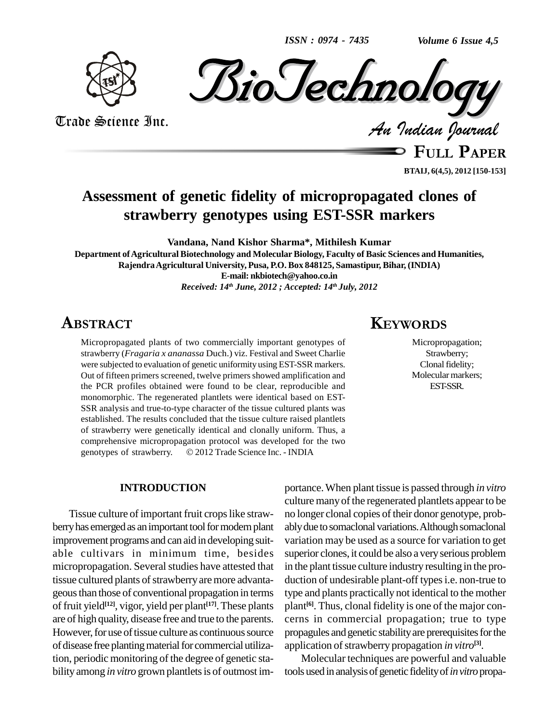*ISSN : 0974 - 7435*

*Volume 6 Issue 4,5*





Trade Science Inc. Trade Science Inc.

**FULL <sup>P</sup>APER**

**BTAIJ, 6(4,5), 2012 [150-153]**

## **Assessment of genetic fidelity of micropropagated clones of strawberry genotypes using EST-SSR markers**

**Vandana, Nand Kishor Sharma\*, Mithilesh Kumar**

**Department ofAgricultural Biotechnology and MolecularBiology, Faculty of Basic Sciences and Humanities, RajendraAgricultural University, Pusa, P.O. Box 848125, Samastipur, Bihar, (INDIA) E-mail: [nkbiotech@yahoo.co.in](mailto:nkbiotech@yahoo.co.in)** *Received: 14 th June, 2012 ; Accepted: 14 th July, 2012* **KEYWORDS** 

### ABSTRACT

Micropropagated plants of two commercially important genotypes of strawberry (*Fragaria x ananassa* Duch.) viz. Festival and Sweet Charlie were subjected to evaluation of genetic uniformity using EST-SSR markers. Out of fifteen primers screened, twelve primers showed amplification and the PCR profiles obtained were found to be clear, reproducible and monomorphic. The regenerated plantlets were identical based on EST- SSR analysis and true-to-type character of the tissue cultured plants was established. The results concluded that the tissue culture raised plantlets of strawberry were genetically identical and clonally uniform. Thus, a comprehensive micropropagation protocol was developed for the two of strawberry were genetically identical and clonally uniform. Thus, a<br>comprehensive micropropagation protocol was developed for the two<br>genotypes of strawberry. © 2012 Trade Science Inc. - INDIA

#### **INTRODUCTION**

Tissue culture of important fruit crops like strawberry has emerged as an important tool for modern plant improvement programs and can aid in developing suit able cultivars in minimum time, besides micropropagation. Several studies have attested that tissue cultured plants of strawberry are more advantageousthan those of conventional propagation in terms of fruit yield **[12]**, vigor, yield per plant **[17]**.These plants are of high quality, disease free and true to the parents. However, for use of tissue culture as continuous source of disease free planting material for commercial utilization, periodic monitoring of the degree of genetic sta bility among *in vitro* grown plantlets is of outmost im-

# **KEYWORDS**

Micropropagation; Strawberry; Clonal fidelity; Molecular markers; EST-SSR.

portance.When plant tissue is passed through *in vitro* culture many of the regenerated plantlets appear to be no longer clonal copies of their donor genotype, probably due to somaclonal variations. Although somaclonal variation may be used as a source for variation to get superior clones, it could be also a very serious problem in the plant tissue culture industry resulting in the pro duction of undesirable plant-off types i.e. non-true to type and plants practically not identical to the mother plant<sup>[6]</sup>. Thus, clonal fidelity is one of the major concerns in commercial propagation; true to type propagules and genetic stability are prerequisites for the application of strawberry propagation *in vitro*<sup>[3]</sup>.

Molecular techniques are powerful and valuable tools used in analysis of genetic fidelity of *in vitro* propa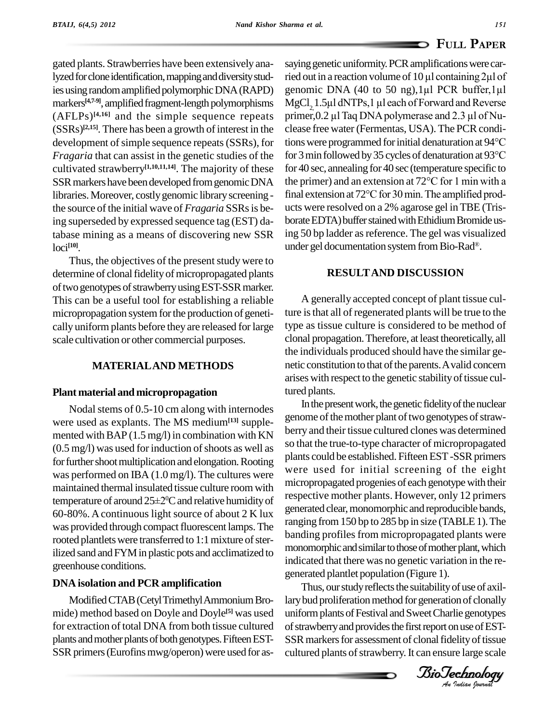gated plants. Strawberries have been extensively analyzed for clone identification, mapping and diversity studmarkers<sup>[4,7-9]</sup>, amplified fragment-length polymorphisms MgC (AFLPs) **[4,16]** and the simple sequence repeats  $(SSRs)^{[2,15]}$ . There has been a growth of interest in the clease *Fragaria* that can assist in the genetic studies of the cultivated strawberry **[1,10,11,14]**. The majority of these the source of the initial wave of *Fragaria* SSRsis being superseded by expressed sequence tag (EST) database mining as a means of discovering new SSR loci **[10]**.

Thus, the objectives of the present study were to determine of clonal fidelity of micropropagated plants of two genotypes of strawberry using EST-SSR marker. This can be a useful tool for establishing a reliable micropropagation system for the production of genetically uniform plants before they are released for large scale cultivation or other commercial purposes.

#### **MATERIALAND METHODS**

#### **Plant material and micropropagation**

Nodal stems of 0.5-10 cm along with internodes were used as explants. The MS medium<sup>[13]</sup> supplemented with  $BAP(1.5 mg/l)$  in combination with KN  $(0.5 \,\text{mg/l})$  was used for induction of shoots as well as for further shoot multiplication and elongation. Rooting was performed on IBA (1.0 mg/l). The cultures were maintained thermal insulated tissue culture room with was performed on IBA  $(1.0 \text{ mg/l})$ . The cultures were<br>maintained thermal insulated tissue culture room with<br>temperature of around  $25\pm2\degree$ C and relative humidity of 60-80%.Acontinuous light source of about 2 K lux was provided through compact fluorescent lamps. The rooted plantlets were transferred to 1:1 mixture of sterilized sand andFYMin plastic pots and acclimatized to greenhouse conditions.

#### **DNA isolation and PCR amplification**

Modified CTAB (Cetyl Trimethyl Ammonium Bromide) method based on Doyle and Doyle<sup>[5]</sup> was used uniform for extraction of total DNA from both tissue cultured plants and mother plants of both genotypes. Fifteen EST-SSR primers (Eurofins mwg/operon) were used for as-

ies using random amplified polymorphic DNA (RAPD) genomic DNA (40 to 50 ng), 1µ1 PCR buffer, 1µ1 development of simple sequence repeats (SSRs), for tions were programmed for initial denaturation at  $94^{\circ}$ C SSR markers have been developed from genomic DNA the primer) and an extension at  $72^{\circ}$ C for 1 min with a libraries. Moreover, costly genomic library screening - final extension at 72°C for 30 min. The amplified prodsaying genetic uniformity. PCR amplifications were car- $\Gamma$ ULL  $\Gamma$  APER<br>saying genetic uniformity. PCR amplifications were car-<br>ried out in a reaction volume of 10 µl containing 2µl of saying genetic uniformity. PCR amplifications were carried out in a reaction volume of  $10 \,\mu$ l containing  $2\mu$ l of genomic DNA (40 to 50 ng),1 $\mu$ l PCR buffer,1 $\mu$ l ried out in a reaction volume of 10 µl containing 2µl of<br>genomic DNA (40 to 50 ng),1µl PCR buffer,1µl<br>MgCl<sub>2,</sub>1.5µl dNTPs,1 µl each of Forward and Reverse  $MgCl$ , 1.5 $\mu$ l dNTPs, 1  $\mu$ l each of Forward and Reverse clease free water (Fermentas, USA). The PCR condiprimer,  $0.2 \mu$ l Taq DNA polymerase and  $2.3 \mu$ l of Nuclease free water (Fermentas, USA). The PCR condi-<br>tions were programmed for initial denaturation at 94°C<br>for 3 min followed by 35 cycles of denaturation at 93°C for 40 sec, annealing for 40 sec (temperature specific to<br>the primer) and an extension at 72°C for 1 min with a<br>final extension at 72°C for 30 min. The amplified prodfor 3 min followed by 35 cycles of denaturation at 93°C<br>for 40 sec, annealing for 40 sec (temperature specific to<br>the primer) and an extension at 72°C for 1 min with a ucts were resolved on a 2% agarose gel inTBE (Tris borate EDTA) buffer stained with Ethidium Bromideusing 50 bp ladder as reference. The gel was visualized under gel documentation system from Bio-Rad®.

#### **RESULTAND DISCUSSION**

A generally accepted concept of plant tissue culture is that all of regenerated plants will be true to the type as tissue culture is considered to be method of clonal propagation.Therefore, at least theoretically, all the individuals produced should have the similar ge netic constitution to that of the parents. A valid concern arises with respect to the genetic stability of tissue cultured plants.

Biotechnology Biotechnology<br>Biotechnology generated plantlet population (Figure 1). In the present work, the genetic fidelity of the nuclear genome of the mother plant of two genotypes of strawberry and their tissue cultured clones was determined so that the true-to-type character of micropropagated plants could be established. Fifteen EST-SSR primers were used for initial screening of the eight micropropagated progenies of each genotype with their respective mother plants. However, only 12 primers generated clear, monomorphic and reproducible bands, ranging from 150 bp to 285 bp in size (TABLE 1). The banding profiles from micropropagated plants were monomorphic and similar to those of mother plant, which indicated that there was no genetic variation in the re-

*An*uniformplantsofFestival andSweetCharlie genotypes Thus, our study reflects the suitability of use of axillary bud proliferation method for generation of clonally of strawberry and provides the first report on use of EST-SSR markers for assessment of clonal fidelity of tissue cultured plants of strawberry. It can ensure large scale

*Indian Journal*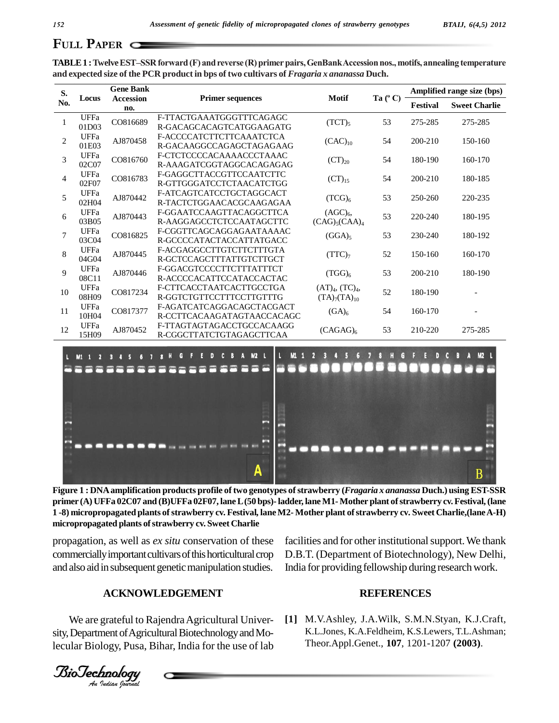## **PAPER**  $\subset$

| S.<br>No.      | Locus                | <b>Gene Bank</b><br><b>Accession</b><br>no. | <b>Primer sequences</b>                                 | <b>Motif</b>                                                   | Ta $(^{\circ}C)$ | Amplified range size (bps) |                      |
|----------------|----------------------|---------------------------------------------|---------------------------------------------------------|----------------------------------------------------------------|------------------|----------------------------|----------------------|
|                |                      |                                             |                                                         |                                                                |                  | Festival                   | <b>Sweet Charlie</b> |
| $\mathbf{1}$   | <b>UFFa</b><br>01D03 | CO816689                                    | F-TTACTGAAATGGGTTTCAGAGC<br>R-GACAGCACAGTCATGGAAGATG    | $(TCT)_{5}$                                                    | 53               | 275-285                    | 275-285              |
| 2              | <b>UFFa</b><br>01E03 | AJ870458                                    | F-ACCCCATCTTCTTCAAATCTCA<br>R-GACAAGGCCAGAGCTAGAGAAG    | $(CAC)_{10}$                                                   | 54               | 200-210                    | 150-160              |
| 3              | UFFa<br>02C07        | CO816760                                    | F-CTCTCCCCACAAAACCCTAAAC<br>R-AAAGATCGGTAGGCACAGAGAG    | $(CT)_{20}$                                                    | 54               | 180-190                    | 160-170              |
| $\overline{4}$ | UFFa<br>02F07        | CO816783                                    | F-GAGGCTTACCGTTCCAATCTTC<br>R-GTTGGGATCCTCTAACATCTGG    | $(CT)_{15}$                                                    | 54               | 200-210                    | 180-185              |
| 5              | UFFa<br>02H04        | AJ870442                                    | F-ATCAGTCATCCTGCTAGGCACT<br>R-TACTCTGGAACACGCAAGAGAA    | (TCG) <sub>6</sub>                                             | 53               | 250-260                    | 220-235              |
| 6              | <b>UFFa</b><br>03B05 | AJ870443                                    | F-GGAATCCAAGTTACAGGCTTCA<br>R-AAGGAGCCTCTCCAATAGCTTC    | (AGC) <sub>6</sub><br>$(CAG)_{5}(CAA)_{4}$                     | 53               | 220-240                    | 180-195              |
| $\overline{7}$ | UFFa<br>03C04        | CO816825                                    | F-CGGTTCAGCAGGAGAATAAAAC<br>R-GCCCCATACTACCATTATGACC    | $(GGA)_{5}$                                                    | 53               | 230-240                    | 180-192              |
| 8              | <b>UFFa</b><br>04G04 | AJ870445                                    | F-ACGAGGCCTTGTCTTCTTTGTA<br>R-GCTCCAGCTTTATTGTCTTGCT    | $(TTC)_{7}$                                                    | 52               | 150-160                    | 160-170              |
| 9              | UFFa<br>08C11        | AJ870446                                    | F-GGACGTCCCCTTCTTTATTTCT<br>R-ACCCCACATTCCATACCACTAC    | $(TGG)_6$                                                      | 53               | 200-210                    | 180-190              |
| 10             | UFFa<br>08H09        | CO817234                                    | F-CTTCACCTAATCACTTGCCTGA<br>R-GGTCTGTTCCTTTCCTTGTTTG    | (AT) <sub>4</sub> , (TC) <sub>4</sub> ,<br>$(TA)_{7}(TA)_{10}$ | 52               | 180-190                    |                      |
| 11             | <b>UFFa</b><br>10H04 | CO817377                                    | F-AGATCATCAGGACAGCTACGACT<br>R-CCTTCACAAGATAGTAACCACAGC | (GA) <sub>6</sub>                                              | 54               | 160-170                    |                      |
| 12             | <b>UFFa</b><br>15H09 | AJ870452                                    | F-TTAGTAGTAGACCTGCCACAAGG<br>R-CGGCTTATCTGTAGAGCTTCAA   | $(CAGAG)_{6}$                                                  | 53               | 210-220                    | 275-285              |

**TABLE1 :TwelveESTñSSRforward(F) andreverse (R)primerpairs,GenBankAccessionnos.,motifs,annealing temperature and expected size of the PCR product in bps of two cultivars of** *Fragaria x ananassa* **Duch.**



Figure 1 : DNA amplification products profile of two genotypes of strawberry (Fragaria x ananassa Duch.) using EST-SSR **primer (A) UFFa 02C07 and (B)UFFa 02F07, laneL(50 bps)-ladder, lane M1-Mother plant ofstrawberry cv.Festival,(lane** 1-8) micropropagated plants of strawberry cv. Festival, lane M2-Mother plant of strawberry cv. Sweet Charlie, (lane A-H) **micropropagated plants ofstrawberry cv. Sweet Charlie**

and also aid in subsequent genetic manipulation studies. In propagation, as well as *ex situ* conservation of these commercially important cultivars of this horticultural crop

facilities and for other institutional support. We thank D.B.T. (Department of Biotechnology), New Delhi, India for providing fellowship during research work.

#### **ACKNOWLEDGEMENT**

We are grateful to Rajendra Agricultural University, Department of Agricultural Biotechnology and Molecular Biology, Pusa, Bihar, India for the use of lab

#### **REFERENCES**

**[1]** M.V.Ashley, J.A.Wilk, S.M.N.Styan, K.J.Craft, K.L.Jones, K.A.Feldheim, K.S.Lewers, T.L.Ashman; Theor.Appl.Genet., **107**, 1201-1207 **(2003)**.

*Indian Journal*